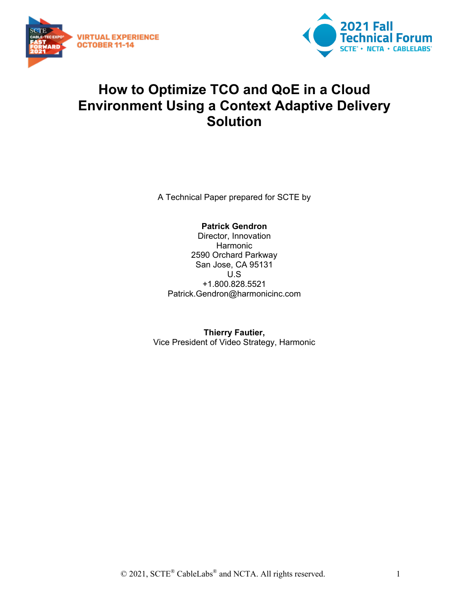



## **How to Optimize TCO and QoE in a Cloud Environment Using a Context Adaptive Delivery Solution**

A Technical Paper prepared for SCTE by

**Patrick Gendron** Director, Innovation Harmonic 2590 Orchard Parkway San Jose, CA 95131 U.S +1.800.828.5521 Patrick.Gendron@harmonicinc.com

**Thierry Fautier,**  Vice President of Video Strategy, Harmonic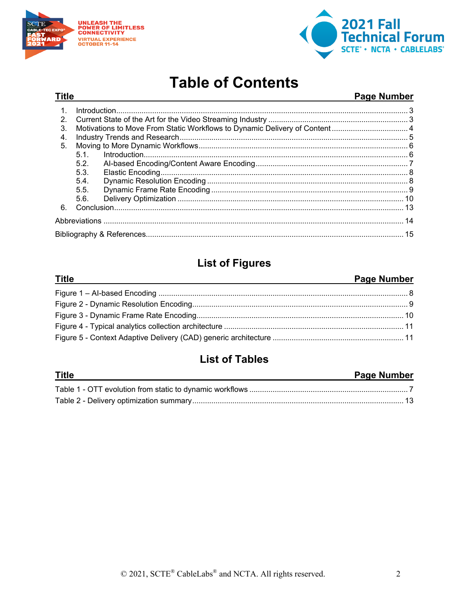

**Title** 



## **Table of Contents**

#### **Page Number**

| $\mathbf{1}$ . |      |  |  |
|----------------|------|--|--|
| 2.             |      |  |  |
| 3.             |      |  |  |
| 4.             |      |  |  |
| 5.             |      |  |  |
|                | 5.1  |  |  |
|                | 5.2. |  |  |
|                | 5.3. |  |  |
|                | 5.4  |  |  |
|                | 5.5. |  |  |
|                | 5.6. |  |  |
| 6.             |      |  |  |
|                |      |  |  |
|                |      |  |  |

## **List of Figures**

#### **Title Page Number**

## **List of Tables**

| <b>Title</b> | <b>Page Number</b> |
|--------------|--------------------|
|              |                    |
|              |                    |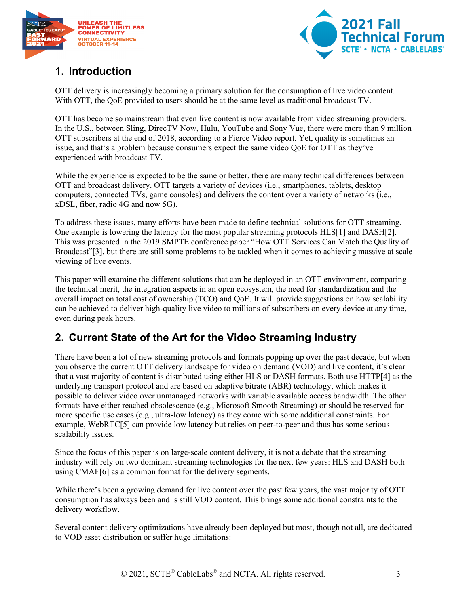



## <span id="page-2-0"></span>**1. Introduction**

OTT delivery is increasingly becoming a primary solution for the consumption of live video content. With OTT, the QoE provided to users should be at the same level as traditional broadcast TV.

OTT has become so mainstream that even live content is now available from video streaming providers. In the U.S., between Sling, DirecTV Now, Hulu, YouTube and Sony Vue, there were more than 9 million OTT subscribers at the end of 2018, according to a Fierce Video report. Yet, quality is sometimes an issue, and that's a problem because consumers expect the same video QoE for OTT as they've experienced with broadcast TV.

While the experience is expected to be the same or better, there are many technical differences between OTT and broadcast delivery. OTT targets a variety of devices (i.e., smartphones, tablets, desktop computers, connected TVs, game consoles) and delivers the content over a variety of networks (i.e., xDSL, fiber, radio 4G and now 5G).

To address these issues, many efforts have been made to define technical solutions for OTT streaming. One example is lowering the latency for the most popular streaming protocols HL[S\[1\]](#page-14-1) and DAS[H\[2\].](#page-14-2) This was presented in the 2019 SMPTE conference paper "How OTT Services Can Match the Quality of Broadcast["\[3\],](#page-14-3) but there are still some problems to be tackled when it comes to achieving massive at scale viewing of live events.

This paper will examine the different solutions that can be deployed in an OTT environment, comparing the technical merit, the integration aspects in an open ecosystem, the need for standardization and the overall impact on total cost of ownership (TCO) and QoE. It will provide suggestions on how scalability can be achieved to deliver high-quality live video to millions of subscribers on every device at any time, even during peak hours.

## <span id="page-2-1"></span>**2. Current State of the Art for the Video Streaming Industry**

There have been a lot of new streaming protocols and formats popping up over the past decade, but when you observe the current OTT delivery landscape for video on demand (VOD) and live content, it's clear that a vast majority of content is distributed using either HLS or DASH formats. Both use HTT[P\[4\]](#page-14-4) as the underlying transport protocol and are based on adaptive bitrate (ABR) technology, which makes it possible to deliver video over unmanaged networks with variable available access bandwidth. The other formats have either reached obsolescence (e.g., Microsoft Smooth Streaming) or should be reserved for more specific use cases (e.g., ultra-low latency) as they come with some additional constraints. For example, WebRT[C\[5\]](#page-14-5) can provide low latency but relies on peer-to-peer and thus has some serious scalability issues.

Since the focus of this paper is on large-scale content delivery, it is not a debate that the streaming industry will rely on two dominant streaming technologies for the next few years: HLS and DASH both using CMA[F\[6\]](#page-14-6) as a common format for the delivery segments.

While there's been a growing demand for live content over the past few years, the vast majority of OTT consumption has always been and is still VOD content. This brings some additional constraints to the delivery workflow.

Several content delivery optimizations have already been deployed but most, though not all, are dedicated to VOD asset distribution or suffer huge limitations: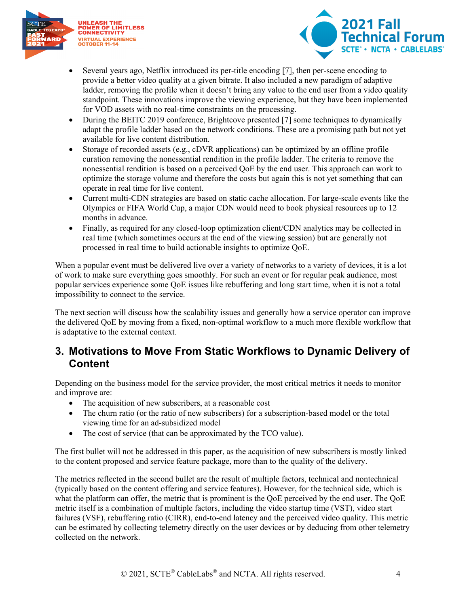



- Several years ago, Netflix introduced its per-title encoding [\[7\],](#page-14-7) then per-scene encoding to provide a better video quality at a given bitrate. It also included a new paradigm of adaptive ladder, removing the profile when it doesn't bring any value to the end user from a video quality standpoint. These innovations improve the viewing experience, but they have been implemented for VOD assets with no real-time constraints on the processing.
- During the BEITC 2019 conference, Brightcove presented [\[7\]](#page-14-8) some techniques to dynamically adapt the profile ladder based on the network conditions. These are a promising path but not yet available for live content distribution.
- Storage of recorded assets (e.g., cDVR applications) can be optimized by an offline profile curation removing the nonessential rendition in the profile ladder. The criteria to remove the nonessential rendition is based on a perceived QoE by the end user. This approach can work to optimize the storage volume and therefore the costs but again this is not yet something that can operate in real time for live content.
- Current multi-CDN strategies are based on static cache allocation. For large-scale events like the Olympics or FIFA World Cup, a major CDN would need to book physical resources up to 12 months in advance.
- Finally, as required for any closed-loop optimization client/CDN analytics may be collected in real time (which sometimes occurs at the end of the viewing session) but are generally not processed in real time to build actionable insights to optimize QoE.

When a popular event must be delivered live over a variety of networks to a variety of devices, it is a lot of work to make sure everything goes smoothly. For such an event or for regular peak audience, most popular services experience some QoE issues like rebuffering and long start time, when it is not a total impossibility to connect to the service.

The next section will discuss how the scalability issues and generally how a service operator can improve the delivered QoE by moving from a fixed, non-optimal workflow to a much more flexible workflow that is adaptative to the external context.

### <span id="page-3-0"></span>**3. Motivations to Move From Static Workflows to Dynamic Delivery of Content**

Depending on the business model for the service provider, the most critical metrics it needs to monitor and improve are:

- The acquisition of new subscribers, at a reasonable cost
- The churn ratio (or the ratio of new subscribers) for a subscription-based model or the total viewing time for an ad-subsidized model
- The cost of service (that can be approximated by the TCO value).

The first bullet will not be addressed in this paper, as the acquisition of new subscribers is mostly linked to the content proposed and service feature package, more than to the quality of the delivery.

The metrics reflected in the second bullet are the result of multiple factors, technical and nontechnical (typically based on the content offering and service features). However, for the technical side, which is what the platform can offer, the metric that is prominent is the QoE perceived by the end user. The QoE metric itself is a combination of multiple factors, including the video startup time (VST), video start failures (VSF), rebuffering ratio (CIRR), end-to-end latency and the perceived video quality. This metric can be estimated by collecting telemetry directly on the user devices or by deducing from other telemetry collected on the network.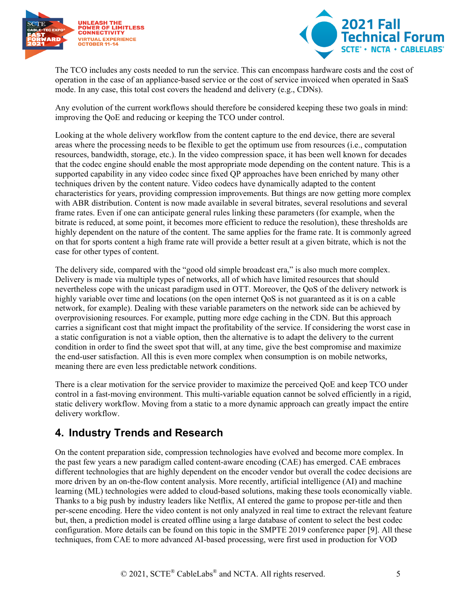



The TCO includes any costs needed to run the service. This can encompass hardware costs and the cost of operation in the case of an appliance-based service or the cost of service invoiced when operated in SaaS mode. In any case, this total cost covers the headend and delivery (e.g., CDNs).

Any evolution of the current workflows should therefore be considered keeping these two goals in mind: improving the QoE and reducing or keeping the TCO under control.

Looking at the whole delivery workflow from the content capture to the end device, there are several areas where the processing needs to be flexible to get the optimum use from resources (i.e., computation resources, bandwidth, storage, etc.). In the video compression space, it has been well known for decades that the codec engine should enable the most appropriate mode depending on the content nature. This is a supported capability in any video codec since fixed QP approaches have been enriched by many other techniques driven by the content nature. Video codecs have dynamically adapted to the content characteristics for years, providing compression improvements. But things are now getting more complex with ABR distribution. Content is now made available in several bitrates, several resolutions and several frame rates. Even if one can anticipate general rules linking these parameters (for example, when the bitrate is reduced, at some point, it becomes more efficient to reduce the resolution), these thresholds are highly dependent on the nature of the content. The same applies for the frame rate. It is commonly agreed on that for sports content a high frame rate will provide a better result at a given bitrate, which is not the case for other types of content.

The delivery side, compared with the "good old simple broadcast era," is also much more complex. Delivery is made via multiple types of networks, all of which have limited resources that should nevertheless cope with the unicast paradigm used in OTT. Moreover, the QoS of the delivery network is highly variable over time and locations (on the open internet QoS is not guaranteed as it is on a cable network, for example). Dealing with these variable parameters on the network side can be achieved by overprovisioning resources. For example, putting more edge caching in the CDN. But this approach carries a significant cost that might impact the profitability of the service. If considering the worst case in a static configuration is not a viable option, then the alternative is to adapt the delivery to the current condition in order to find the sweet spot that will, at any time, give the best compromise and maximize the end-user satisfaction. All this is even more complex when consumption is on mobile networks, meaning there are even less predictable network conditions.

There is a clear motivation for the service provider to maximize the perceived QoE and keep TCO under control in a fast-moving environment. This multi-variable equation cannot be solved efficiently in a rigid, static delivery workflow. Moving from a static to a more dynamic approach can greatly impact the entire delivery workflow.

## <span id="page-4-0"></span>**4. Industry Trends and Research**

On the content preparation side, compression technologies have evolved and become more complex. In the past few years a new paradigm called content-aware encoding (CAE) has emerged. CAE embraces different technologies that are highly dependent on the encoder vendor but overall the codec decisions are more driven by an on-the-flow content analysis. More recently, artificial intelligence (AI) and machine learning (ML) technologies were added to cloud-based solutions, making these tools economically viable. Thanks to a big push by industry leaders like Netflix, AI entered the game to propose per-title and then per-scene encoding. Here the video content is not only analyzed in real time to extract the relevant feature but, then, a prediction model is created offline using a large database of content to select the best codec configuration. More details can be found on this topic in the SMPTE 2019 conference paper [\[9\].](#page-14-9) All these techniques, from CAE to more advanced AI-based processing, were first used in production for VOD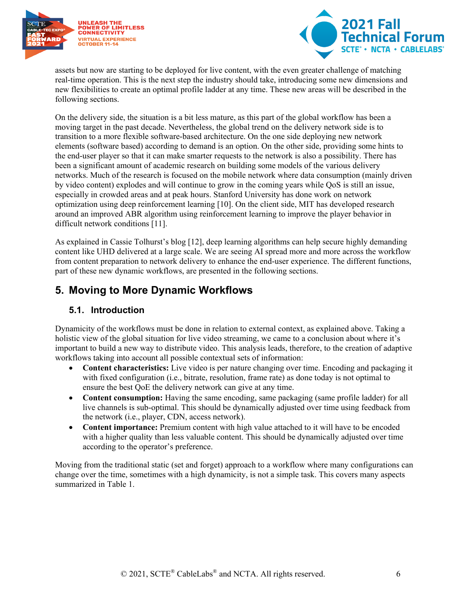



assets but now are starting to be deployed for live content, with the even greater challenge of matching real-time operation. This is the next step the industry should take, introducing some new dimensions and new flexibilities to create an optimal profile ladder at any time. These new areas will be described in the following sections.

On the delivery side, the situation is a bit less mature, as this part of the global workflow has been a moving target in the past decade. Nevertheless, the global trend on the delivery network side is to transition to a more flexible software-based architecture. On the one side deploying new network elements (software based) according to demand is an option. On the other side, providing some hints to the end-user player so that it can make smarter requests to the network is also a possibility. There has been a significant amount of academic research on building some models of the various delivery networks. Much of the research is focused on the mobile network where data consumption (mainly driven by video content) explodes and will continue to grow in the coming years while QoS is still an issue, especially in crowded areas and at peak hours. Stanford University has done work on network optimization using deep reinforcement learning [\[10\].](#page-14-10) On the client side, MIT has developed research around an improved ABR algorithm using reinforcement learning to improve the player behavior in difficult network conditions [\[11\].](#page-14-11)

As explained in Cassie Tolhurst's blog [\[12\],](#page-14-12) deep learning algorithms can help secure highly demanding content like UHD delivered at a large scale. We are seeing AI spread more and more across the workflow from content preparation to network delivery to enhance the end-user experience. The different functions, part of these new dynamic workflows, are presented in the following sections.

### <span id="page-5-0"></span>**5. Moving to More Dynamic Workflows**

#### <span id="page-5-1"></span>**5.1. Introduction**

Dynamicity of the workflows must be done in relation to external context, as explained above. Taking a holistic view of the global situation for live video streaming, we came to a conclusion about where it's important to build a new way to distribute video. This analysis leads, therefore, to the creation of adaptive workflows taking into account all possible contextual sets of information:

- **Content characteristics:** Live video is per nature changing over time. Encoding and packaging it with fixed configuration (i.e., bitrate, resolution, frame rate) as done today is not optimal to ensure the best QoE the delivery network can give at any time.
- **Content consumption:** Having the same encoding, same packaging (same profile ladder) for all live channels is sub-optimal. This should be dynamically adjusted over time using feedback from the network (i.e., player, CDN, access network).
- **Content importance:** Premium content with high value attached to it will have to be encoded with a higher quality than less valuable content. This should be dynamically adjusted over time according to the operator's preference.

Moving from the traditional static (set and forget) approach to a workflow where many configurations can change over the time, sometimes with a high dynamicity, is not a simple task. This covers many aspects summarized in [Table 1.](#page-6-1)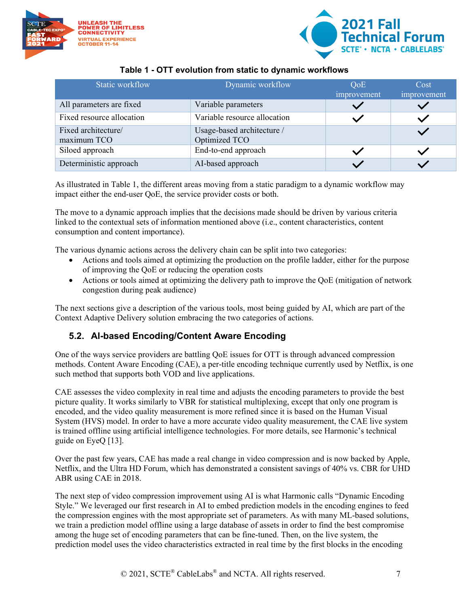



#### **Table 1 - OTT evolution from static to dynamic workflows**

<span id="page-6-1"></span>

| Static workflow                    | Dynamic workflow                            | QoE<br>improvement | Cost<br>improvement |
|------------------------------------|---------------------------------------------|--------------------|---------------------|
| All parameters are fixed           | Variable parameters                         |                    |                     |
| Fixed resource allocation          | Variable resource allocation                |                    |                     |
| Fixed architecture/<br>maximum TCO | Usage-based architecture /<br>Optimized TCO |                    |                     |
| Siloed approach                    | End-to-end approach                         |                    |                     |
| Deterministic approach             | AI-based approach                           |                    |                     |

As illustrated in [Table 1,](#page-6-1) the different areas moving from a static paradigm to a dynamic workflow may impact either the end-user QoE, the service provider costs or both.

The move to a dynamic approach implies that the decisions made should be driven by various criteria linked to the contextual sets of information mentioned above (i.e., content characteristics, content consumption and content importance).

The various dynamic actions across the delivery chain can be split into two categories:

- Actions and tools aimed at optimizing the production on the profile ladder, either for the purpose of improving the QoE or reducing the operation costs
- Actions or tools aimed at optimizing the delivery path to improve the QoE (mitigation of network congestion during peak audience)

The next sections give a description of the various tools, most being guided by AI, which are part of the Context Adaptive Delivery solution embracing the two categories of actions.

#### <span id="page-6-0"></span>**5.2. AI-based Encoding/Content Aware Encoding**

One of the ways service providers are battling QoE issues for OTT is through advanced compression methods. Content Aware Encoding (CAE), a per-title encoding technique currently used by Netflix, is one such method that supports both VOD and live applications.

CAE assesses the video complexity in real time and adjusts the encoding parameters to provide the best picture quality. It works similarly to VBR for statistical multiplexing, except that only one program is encoded, and the video quality measurement is more refined since it is based on the Human Visual System (HVS) model. In order to have a more accurate video quality measurement, the CAE live system is trained offline using artificial intelligence technologies. For more details, see Harmonic's technical guide on EyeQ [\[13\].](#page-14-13)

Over the past few years, CAE has made a real change in video compression and is now backed by Apple, Netflix, and the Ultra HD Forum, which has demonstrated a consistent savings of 40% vs. CBR for UHD ABR using CAE in 2018.

The next step of video compression improvement using AI is what Harmonic calls "Dynamic Encoding Style." We leveraged our first research in AI to embed prediction models in the encoding engines to feed the compression engines with the most appropriate set of parameters. As with many ML-based solutions, we train a prediction model offline using a large database of assets in order to find the best compromise among the huge set of encoding parameters that can be fine-tuned. Then, on the live system, the prediction model uses the video characteristics extracted in real time by the first blocks in the encoding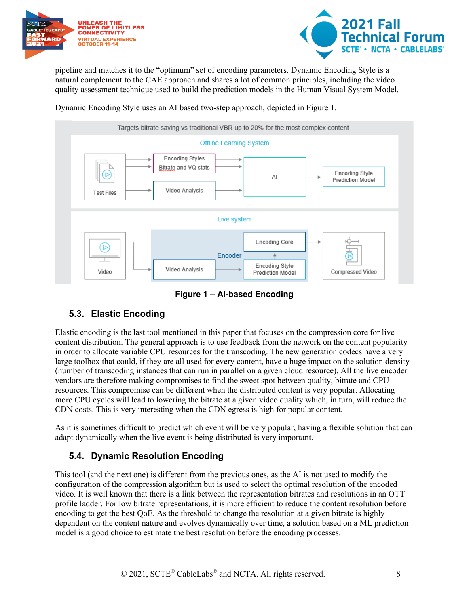



pipeline and matches it to the "optimum" set of encoding parameters. Dynamic Encoding Style is a natural complement to the CAE approach and shares a lot of common principles, including the video quality assessment technique used to build the prediction models in the Human Visual System Model.

Dynamic Encoding Style uses an AI based two-step approach, depicted in [Figure 1.](#page-7-2)



**Figure 1 – AI-based Encoding**

#### <span id="page-7-2"></span><span id="page-7-0"></span>**5.3. Elastic Encoding**

Elastic encoding is the last tool mentioned in this paper that focuses on the compression core for live content distribution. The general approach is to use feedback from the network on the content popularity in order to allocate variable CPU resources for the transcoding. The new generation codecs have a very large toolbox that could, if they are all used for every content, have a huge impact on the solution density (number of transcoding instances that can run in parallel on a given cloud resource). All the live encoder vendors are therefore making compromises to find the sweet spot between quality, bitrate and CPU resources. This compromise can be different when the distributed content is very popular. Allocating more CPU cycles will lead to lowering the bitrate at a given video quality which, in turn, will reduce the CDN costs. This is very interesting when the CDN egress is high for popular content.

As it is sometimes difficult to predict which event will be very popular, having a flexible solution that can adapt dynamically when the live event is being distributed is very important.

#### <span id="page-7-1"></span>**5.4. Dynamic Resolution Encoding**

This tool (and the next one) is different from the previous ones, as the AI is not used to modify the configuration of the compression algorithm but is used to select the optimal resolution of the encoded video. It is well known that there is a link between the representation bitrates and resolutions in an OTT profile ladder. For low bitrate representations, it is more efficient to reduce the content resolution before encoding to get the best QoE. As the threshold to change the resolution at a given bitrate is highly dependent on the content nature and evolves dynamically over time, a solution based on a ML prediction model is a good choice to estimate the best resolution before the encoding processes.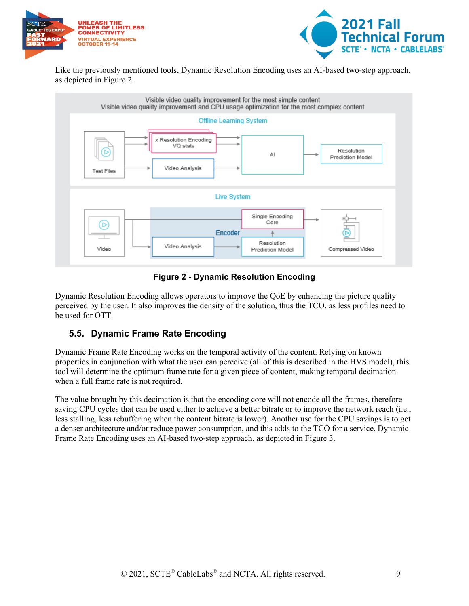



Like the previously mentioned tools, Dynamic Resolution Encoding uses an AI-based two-step approach, as depicted in [Figure 2.](#page-8-1)



#### **Figure 2 - Dynamic Resolution Encoding**

<span id="page-8-1"></span>Dynamic Resolution Encoding allows operators to improve the QoE by enhancing the picture quality perceived by the user. It also improves the density of the solution, thus the TCO, as less profiles need to be used for OTT.

#### <span id="page-8-0"></span>**5.5. Dynamic Frame Rate Encoding**

Dynamic Frame Rate Encoding works on the temporal activity of the content. Relying on known properties in conjunction with what the user can perceive (all of this is described in the HVS model), this tool will determine the optimum frame rate for a given piece of content, making temporal decimation when a full frame rate is not required.

The value brought by this decimation is that the encoding core will not encode all the frames, therefore saving CPU cycles that can be used either to achieve a better bitrate or to improve the network reach (i.e., less stalling, less rebuffering when the content bitrate is lower). Another use for the CPU savings is to get a denser architecture and/or reduce power consumption, and this adds to the TCO for a service. Dynamic Frame Rate Encoding uses an AI-based two-step approach, as depicted in [Figure 3.](#page-9-1)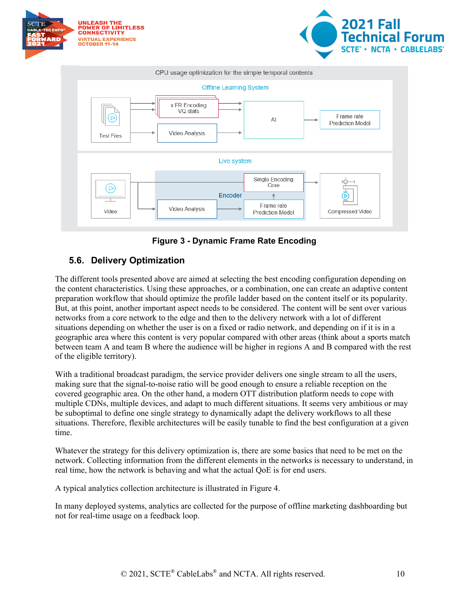

**Figure 3 - Dynamic Frame Rate Encoding**

#### <span id="page-9-1"></span><span id="page-9-0"></span>**5.6. Delivery Optimization**

The different tools presented above are aimed at selecting the best encoding configuration depending on the content characteristics. Using these approaches, or a combination, one can create an adaptive content preparation workflow that should optimize the profile ladder based on the content itself or its popularity. But, at this point, another important aspect needs to be considered. The content will be sent over various networks from a core network to the edge and then to the delivery network with a lot of different situations depending on whether the user is on a fixed or radio network, and depending on if it is in a geographic area where this content is very popular compared with other areas (think about a sports match between team A and team B where the audience will be higher in regions A and B compared with the rest of the eligible territory).

With a traditional broadcast paradigm, the service provider delivers one single stream to all the users, making sure that the signal-to-noise ratio will be good enough to ensure a reliable reception on the covered geographic area. On the other hand, a modern OTT distribution platform needs to cope with multiple CDNs, multiple devices, and adapt to much different situations. It seems very ambitious or may be suboptimal to define one single strategy to dynamically adapt the delivery workflows to all these situations. Therefore, flexible architectures will be easily tunable to find the best configuration at a given time.

Whatever the strategy for this delivery optimization is, there are some basics that need to be met on the network. Collecting information from the different elements in the networks is necessary to understand, in real time, how the network is behaving and what the actual QoE is for end users.

A typical analytics collection architecture is illustrated in [Figure 4.](#page-10-0)

In many deployed systems, analytics are collected for the purpose of offline marketing dashboarding but not for real-time usage on a feedback loop.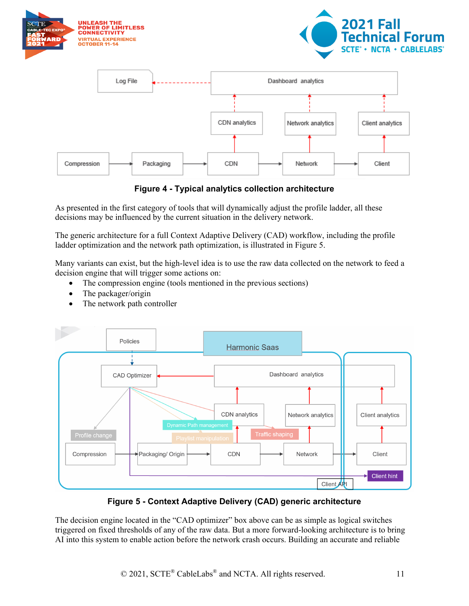

**Figure 4 - Typical analytics collection architecture**

<span id="page-10-0"></span>As presented in the first category of tools that will dynamically adjust the profile ladder, all these decisions may be influenced by the current situation in the delivery network.

The generic architecture for a full Context Adaptive Delivery (CAD) workflow, including the profile ladder optimization and the network path optimization, is illustrated in [Figure 5.](#page-10-1)

Many variants can exist, but the high-level idea is to use the raw data collected on the network to feed a decision engine that will trigger some actions on:

- The compression engine (tools mentioned in the previous sections)
- The packager/origin
- The network path controller



**Figure 5 - Context Adaptive Delivery (CAD) generic architecture**

<span id="page-10-1"></span>The decision engine located in the "CAD optimizer" box above can be as simple as logical switches triggered on fixed thresholds of any of the raw data. But a more forward-looking architecture is to bring AI into this system to enable action before the network crash occurs. Building an accurate and reliable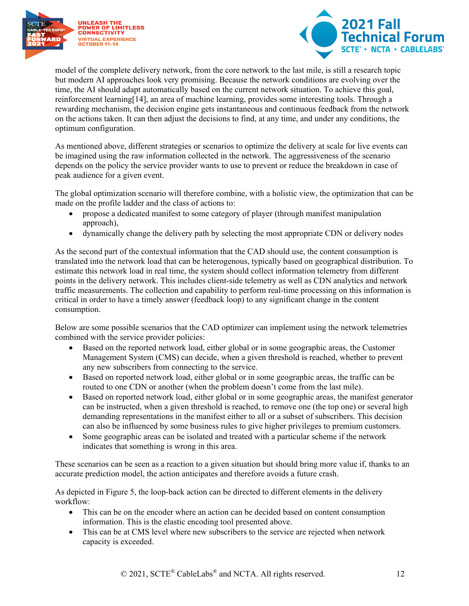



model of the complete delivery network, from the core network to the last mile, is still a research topic but modern AI approaches look very promising. Because the network conditions are evolving over the time, the AI should adapt automatically based on the current network situation. To achieve this goal, reinforcement learnin[g\[14\],](#page-14-14) an area of machine learning, provides some interesting tools. Through a rewarding mechanism, the decision engine gets instantaneous and continuous feedback from the network on the actions taken. It can then adjust the decisions to find, at any time, and under any conditions, the optimum configuration.

As mentioned above, different strategies or scenarios to optimize the delivery at scale for live events can be imagined using the raw information collected in the network. The aggressiveness of the scenario depends on the policy the service provider wants to use to prevent or reduce the breakdown in case of peak audience for a given event.

The global optimization scenario will therefore combine, with a holistic view, the optimization that can be made on the profile ladder and the class of actions to:

- propose a dedicated manifest to some category of player (through manifest manipulation approach),
- dynamically change the delivery path by selecting the most appropriate CDN or delivery nodes

As the second part of the contextual information that the CAD should use, the content consumption is translated into the network load that can be heterogenous, typically based on geographical distribution. To estimate this network load in real time, the system should collect information telemetry from different points in the delivery network. This includes client-side telemetry as well as CDN analytics and network traffic measurements. The collection and capability to perform real-time processing on this information is critical in order to have a timely answer (feedback loop) to any significant change in the content consumption.

Below are some possible scenarios that the CAD optimizer can implement using the network telemetries combined with the service provider policies:

- Based on the reported network load, either global or in some geographic areas, the Customer Management System (CMS) can decide, when a given threshold is reached, whether to prevent any new subscribers from connecting to the service.
- Based on reported network load, either global or in some geographic areas, the traffic can be routed to one CDN or another (when the problem doesn't come from the last mile).
- Based on reported network load, either global or in some geographic areas, the manifest generator can be instructed, when a given threshold is reached, to remove one (the top one) or several high demanding representations in the manifest either to all or a subset of subscribers. This decision can also be influenced by some business rules to give higher privileges to premium customers.
- Some geographic areas can be isolated and treated with a particular scheme if the network indicates that something is wrong in this area.

These scenarios can be seen as a reaction to a given situation but should bring more value if, thanks to an accurate prediction model, the action anticipates and therefore avoids a future crash.

As depicted in [Figure 5,](#page-10-1) the loop-back action can be directed to different elements in the delivery workflow:

- This can be on the encoder where an action can be decided based on content consumption information. This is the elastic encoding tool presented above.
- This can be at CMS level where new subscribers to the service are rejected when network capacity is exceeded.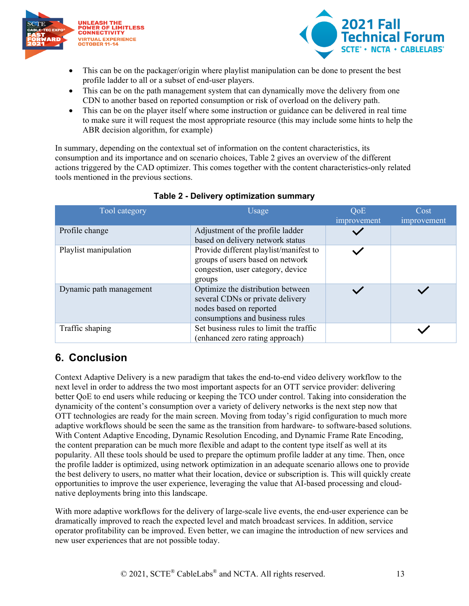



- This can be on the packager/origin where playlist manipulation can be done to present the best profile ladder to all or a subset of end-user players.
- This can be on the path management system that can dynamically move the delivery from one CDN to another based on reported consumption or risk of overload on the delivery path.
- This can be on the player itself where some instruction or guidance can be delivered in real time to make sure it will request the most appropriate resource (this may include some hints to help the ABR decision algorithm, for example)

In summary, depending on the contextual set of information on the content characteristics, its consumption and its importance and on scenario choices, [Table 2](#page-12-1) gives an overview of the different actions triggered by the CAD optimizer. This comes together with the content characteristics-only related tools mentioned in the previous sections.

<span id="page-12-1"></span>

| Tool category           | Usage                                                                                                                               | <b>QoE</b><br>improvement | Cost<br>improvement |
|-------------------------|-------------------------------------------------------------------------------------------------------------------------------------|---------------------------|---------------------|
| Profile change          | Adjustment of the profile ladder<br>based on delivery network status                                                                |                           |                     |
| Playlist manipulation   | Provide different playlist/manifest to<br>groups of users based on network<br>congestion, user category, device<br>groups           |                           |                     |
| Dynamic path management | Optimize the distribution between<br>several CDNs or private delivery<br>nodes based on reported<br>consumptions and business rules |                           |                     |
| Traffic shaping         | Set business rules to limit the traffic<br>(enhanced zero rating approach)                                                          |                           |                     |

#### **Table 2 - Delivery optimization summary**

## <span id="page-12-0"></span>**6. Conclusion**

Context Adaptive Delivery is a new paradigm that takes the end-to-end video delivery workflow to the next level in order to address the two most important aspects for an OTT service provider: delivering better QoE to end users while reducing or keeping the TCO under control. Taking into consideration the dynamicity of the content's consumption over a variety of delivery networks is the next step now that OTT technologies are ready for the main screen. Moving from today's rigid configuration to much more adaptive workflows should be seen the same as the transition from hardware- to software-based solutions. With Content Adaptive Encoding, Dynamic Resolution Encoding, and Dynamic Frame Rate Encoding, the content preparation can be much more flexible and adapt to the content type itself as well at its popularity. All these tools should be used to prepare the optimum profile ladder at any time. Then, once the profile ladder is optimized, using network optimization in an adequate scenario allows one to provide the best delivery to users, no matter what their location, device or subscription is. This will quickly create opportunities to improve the user experience, leveraging the value that AI-based processing and cloudnative deployments bring into this landscape.

With more adaptive workflows for the delivery of large-scale live events, the end-user experience can be dramatically improved to reach the expected level and match broadcast services. In addition, service operator profitability can be improved. Even better, we can imagine the introduction of new services and new user experiences that are not possible today.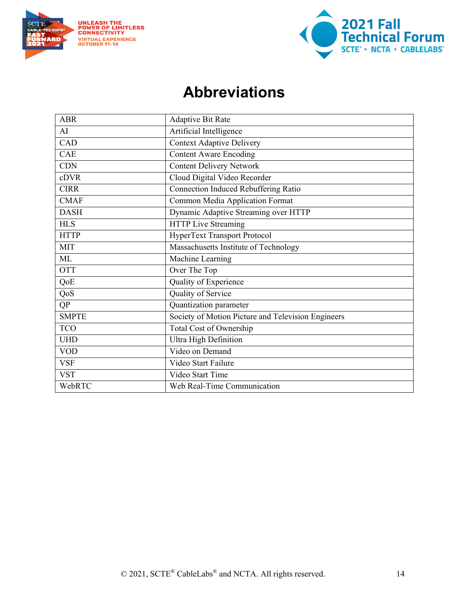



## **Abbreviations**

<span id="page-13-0"></span>

| <b>ABR</b>   | <b>Adaptive Bit Rate</b>                           |
|--------------|----------------------------------------------------|
| AI           | Artificial Intelligence                            |
| CAD          | <b>Context Adaptive Delivery</b>                   |
| CAE          | <b>Content Aware Encoding</b>                      |
| <b>CDN</b>   | <b>Content Delivery Network</b>                    |
| cDVR         | Cloud Digital Video Recorder                       |
| <b>CIRR</b>  | Connection Induced Rebuffering Ratio               |
| <b>CMAF</b>  | Common Media Application Format                    |
| <b>DASH</b>  | Dynamic Adaptive Streaming over HTTP               |
| <b>HLS</b>   | <b>HTTP Live Streaming</b>                         |
| <b>HTTP</b>  | HyperText Transport Protocol                       |
| <b>MIT</b>   | Massachusetts Institute of Technology              |
| ML           | Machine Learning                                   |
| <b>OTT</b>   | Over The Top                                       |
| QoE          | Quality of Experience                              |
| QoS          | Quality of Service                                 |
| QP           | Quantization parameter                             |
| <b>SMPTE</b> | Society of Motion Picture and Television Engineers |
| <b>TCO</b>   | Total Cost of Ownership                            |
| <b>UHD</b>   | Ultra High Definition                              |
| <b>VOD</b>   | Video on Demand                                    |
| <b>VSF</b>   | Video Start Failure                                |
| <b>VST</b>   | Video Start Time                                   |
| WebRTC       | Web Real-Time Communication                        |